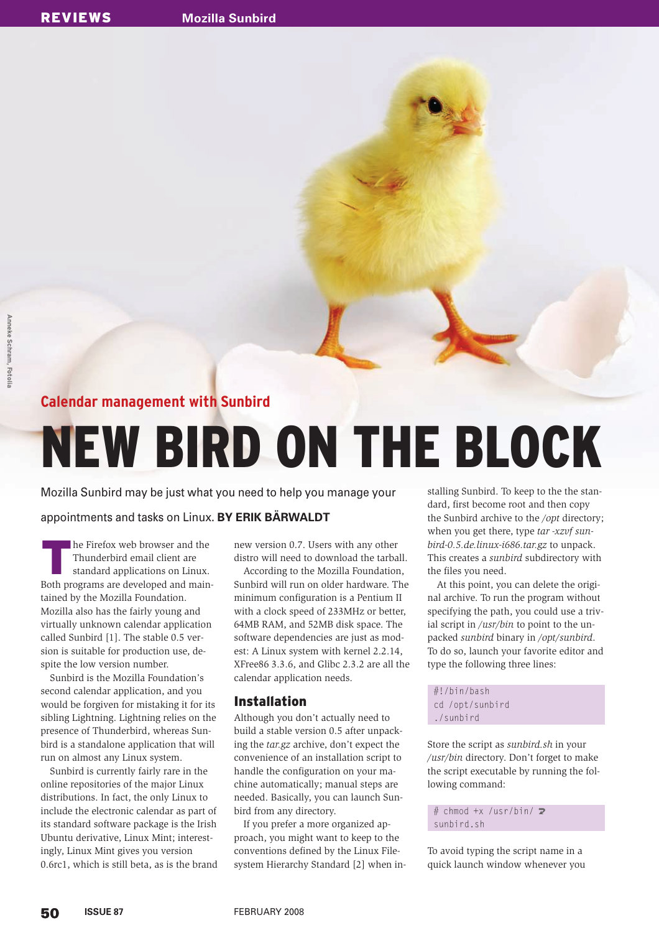### **Calendar management with Sunbird**

## NEW BIRD ON THE BLOCK

Mozilla Sunbird may be just what you need to help you manage your

#### appointments and tasks on Linux. **BY ERIK BÄRWALDT**

In the Firefox web browser and the Thunderbird email client are standard applications on Linux.<br>Both programs are developed and mainhe Firefox web browser and the Thunderbird email client are standard applications on Linux. tained by the Mozilla Foundation. Mozilla also has the fairly young and virtually unknown calendar application called Sunbird [1]. The stable 0.5 version is suitable for production use, despite the low version number.

Sunbird is the Mozilla Foundation's second calendar application, and you would be forgiven for mistaking it for its sibling Lightning. Lightning relies on the presence of Thunderbird, whereas Sunbird is a standalone application that will run on almost any Linux system.

Sunbird is currently fairly rare in the online repositories of the major Linux distributions. In fact, the only Linux to include the electronic calendar as part of its standard software package is the Irish Ubuntu derivative, Linux Mint; interestingly, Linux Mint gives you version 0.6rc1, which is still beta, as is the brand new version 0.7. Users with any other distro will need to download the tarball.

According to the Mozilla Foundation, Sunbird will run on older hardware. The minimum configuration is a Pentium II with a clock speed of 233MHz or better, 64MB RAM, and 52MB disk space. The software dependencies are just as modest: A Linux system with kernel 2.2.14, XFree86 3.3.6, and Glibc 2.3.2 are all the calendar application needs.

#### Installation

Although you don't actually need to build a stable version 0.5 after unpacking the *tar.gz* archive, don't expect the convenience of an installation script to handle the configuration on your machine automatically; manual steps are needed. Basically, you can launch Sunbird from any directory.

If you prefer a more organized approach, you might want to keep to the conventions defined by the Linux Filesystem Hierarchy Standard [2] when installing Sunbird. To keep to the the standard, first become root and then copy the Sunbird archive to the */opt* directory; when you get there, type *tar -xzvf sunbird-0.5.de.linux-i686.tar.gz* to unpack. This creates a *sunbird* subdirectory with the files you need.

At this point, you can delete the original archive. To run the program without specifying the path, you could use a trivial script in */usr/bin* to point to the unpacked *sunbird* binary in */opt/sunbird*. To do so, launch your favorite editor and type the following three lines:

#!/bin/bash cd /opt/sunbird ./sunbird

Store the script as *sunbird.sh* in your */usr/bin* directory. Don't forget to make the script executable by running the following command:

# chmod +x /usr/bin/  $\mathbf{z}$ sunbird.sh

To avoid typing the script name in a quick launch window whenever you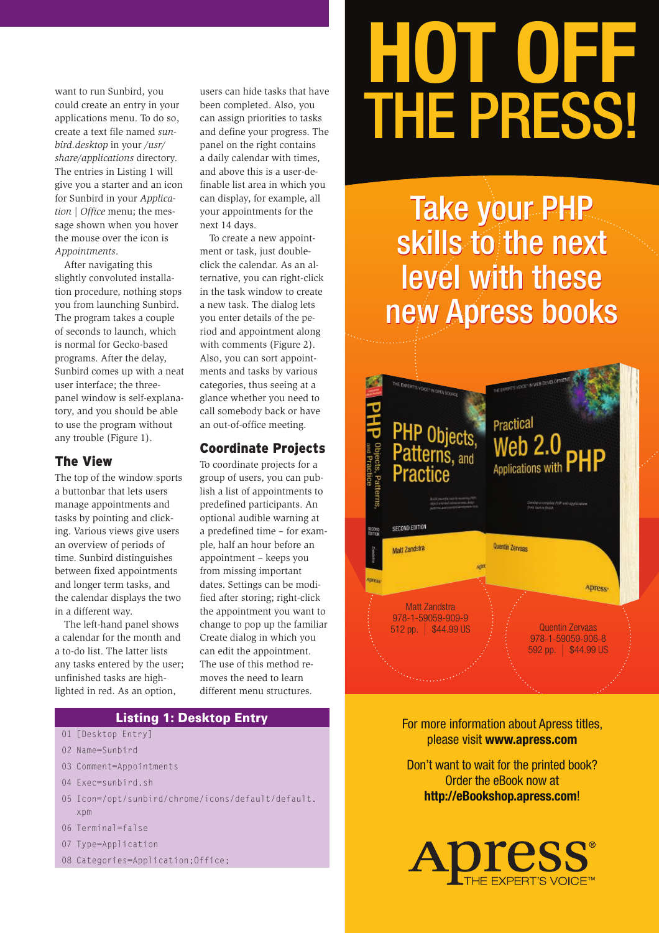want to run Sunbird, you could create an entry in your applications menu. To do so, create a text file named *sunbird.desktop* in your */usr/ share/applications* directory. The entries in Listing 1 will give you a starter and an icon for Sunbird in your *Application* | *Office* menu; the message shown when you hover the mouse over the icon is *Appointments*.

After navigating this slightly convoluted installation procedure, nothing stops you from launching Sunbird. The program takes a couple of seconds to launch, which is normal for Gecko-based programs. After the delay, Sunbird comes up with a neat user interface; the threepanel window is self-explanatory, and you should be able to use the program without any trouble (Figure 1).

#### The View

The top of the window sports a buttonbar that lets users manage appointments and tasks by pointing and clicking. Various views give users an overview of periods of time. Sunbird distinguishes between fixed appointments and longer term tasks, and the calendar displays the two in a different way.

The left-hand panel shows a calendar for the month and a to-do list. The latter lists any tasks entered by the user; unfinished tasks are highlighted in red. As an option,

users can hide tasks that have been completed. Also, you can assign priorities to tasks and define your progress. The panel on the right contains a daily calendar with times, and above this is a user-definable list area in which you can display, for example, all your appointments for the next 14 days.

To create a new appointment or task, just doubleclick the calendar. As an alternative, you can right-click in the task window to create a new task. The dialog lets you enter details of the period and appointment along with comments (Figure 2). Also, you can sort appointments and tasks by various categories, thus seeing at a glance whether you need to call somebody back or have an out-of-office meeting.

#### Coordinate Projects

To coordinate projects for a group of users, you can publish a list of appointments to predefined participants. An optional audible warning at a predefined time – for example, half an hour before an appointment – keeps you from missing important dates. Settings can be modified after storing; right-click the appointment you want to change to pop up the familiar Create dialog in which you can edit the appointment. The use of this method removes the need to learn different menu structures.

#### Listing 1: Desktop Entry

- 01 [Desktop Entry]
- 02 Name=Sunbird
- 03 Comment=Appointments
- 04 Exec=sunbird.sh
- 05 Icon=/opt/sunbird/chrome/icons/default/default. xpm
- 06 Terminal=false
- 07 Type=Application
- 08 Categories=Application;Office;

# **HOT OFF**  THE PRESS!

Take your PHP skills to the next level with these new Apress books



For more information about Apress titles, please visit **www.apress.com**

Don't want to wait for the printed book? Order the eBook now at **http://eBookshop.apress.com**!